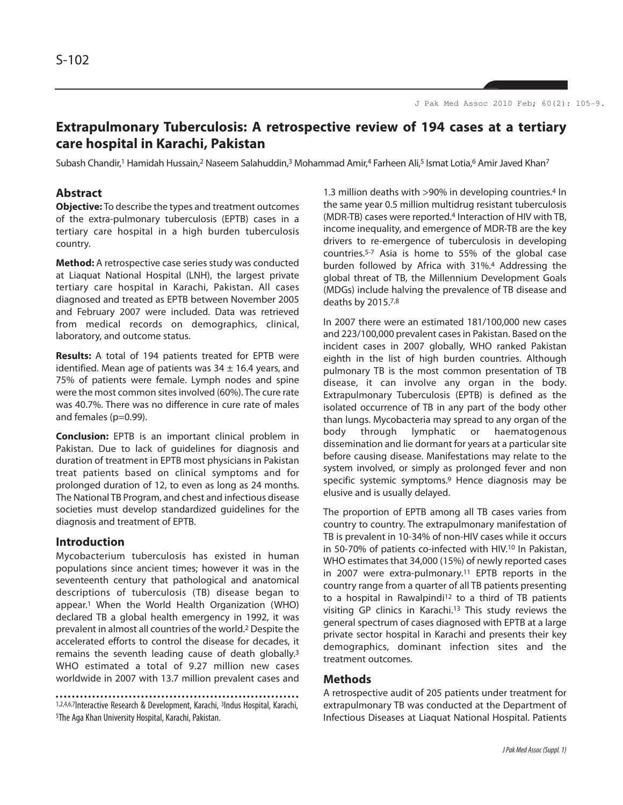# **Extrapulmonary Tuberculosis: A retrospective review of 194 cases at a tertiary care hospital in Karachi, Pakistan**

Subash Chandir,<sup>1</sup> Hamidah Hussain,<sup>2</sup> Naseem Salahuddin,<sup>3</sup> Mohammad Amir,4 Farheen Ali,<sup>5</sup> Ismat Lotia,<sup>6</sup> Amir Javed Khan<sup>7</sup>

# **Abstract**

**Objective:** To describe the types and treatment outcomes of the extra-pulmonary tuberculosis (EPTB) cases in a tertiary care hospital in a high burden tuberculosis country.

**Method:** A retrospective case series study was conducted at Liaquat National Hospital (LNH), the largest private tertiary care hospital in Karachi, Pakistan. All cases diagnosed and treated as EPTB between November 2005 and February 2007 were included. Data was retrieved from medical records on demographics, clinical, laboratory, and outcome status.

**Results:** A total of 194 patients treated for EPTB were identified. Mean age of patients was  $34 \pm 16.4$  years, and 75% of patients were female. Lymph nodes and spine were the most common sites involved (60%). The cure rate was 40.7%. There was no difference in cure rate of males and females (p=0.99).

**Conclusion:** EPTB is an important clinical problem in Pakistan. Due to lack of guidelines for diagnosis and duration of treatment in EPTB most physicians in Pakistan treat patients based on clinical symptoms and for prolonged duration of 12, to even as long as 24 months. The National TB Program, and chest and infectious disease societies must develop standardized guidelines for the diagnosis and treatment of EPTB.

# **Introduction**

Mycobacterium tuberculosis has existed in human populations since ancient times; however it was in the seventeenth century that pathological and anatomical descriptions of tuberculosis (TB) disease began to appear.<sup>1</sup> When the World Health Organization (WHO) declared TB a global health emergency in 1992, it was prevalent in almost all countries of the world.<sup>2</sup> Despite the accelerated efforts to control the disease for decades, it remains the seventh leading cause of death globally.<sup>3</sup> WHO estimated a total of 9.27 million new cases worldwide in 2007 with 13.7 million prevalent cases and

1,2,4,6,7Interactive Research & Development, Karachi, <sup>3</sup>Indus Hospital, Karachi, <sup>5</sup>The Aga Khan University Hospital, Karachi, Pakistan.

1.3 million deaths with >90% in developing countries.<sup>4</sup> In the same year 0.5 million multidrug resistant tuberculosis (MDR-TB) cases were reported.<sup>4</sup> Interaction of HIV with TB, income inequality, and emergence of MDR-TB are the key drivers to re-emergence of tuberculosis in developing countries.5-7 Asia is home to 55% of the global case burden followed by Africa with 31%.<sup>4</sup> Addressing the global threat of TB, the Millennium Development Goals (MDGs) include halving the prevalence of TB disease and deaths by 2015.7,8

In 2007 there were an estimated 181/100,000 new cases and 223/100,000 prevalent cases in Pakistan. Based on the incident cases in 2007 globally, WHO ranked Pakistan eighth in the list of high burden countries. Although pulmonary TB is the most common presentation of TB disease, it can involve any organ in the body. Extrapulmonary Tuberculosis (EPTB) is defined as the isolated occurrence of TB in any part of the body other than lungs. Mycobacteria may spread to any organ of the body through lymphatic or haematogenous dissemination and lie dormant for years at a particular site before causing disease. Manifestations may relate to the system involved, or simply as prolonged fever and non specific systemic symptoms.<sup>9</sup> Hence diagnosis may be elusive and is usually delayed.

The proportion of EPTB among all TB cases varies from country to country. The extrapulmonary manifestation of TB is prevalent in 10-34% of non-HIV cases while it occurs in 50-70% of patients co-infected with HIV.<sup>10</sup> In Pakistan, WHO estimates that 34,000 (15%) of newly reported cases in 2007 were extra-pulmonary.<sup>11</sup> EPTB reports in the country range from a quarter of all TB patients presenting to a hospital in Rawalpindi<sup>12</sup> to a third of TB patients visiting GP clinics in Karachi.<sup>13</sup> This study reviews the general spectrum of cases diagnosed with EPTB at a large private sector hospital in Karachi and presents their key demographics, dominant infection sites and the treatment outcomes.

# **Methods**

A retrospective audit of 205 patients under treatment for extrapulmonary TB was conducted at the Department of Infectious Diseases at Liaquat National Hospital. Patients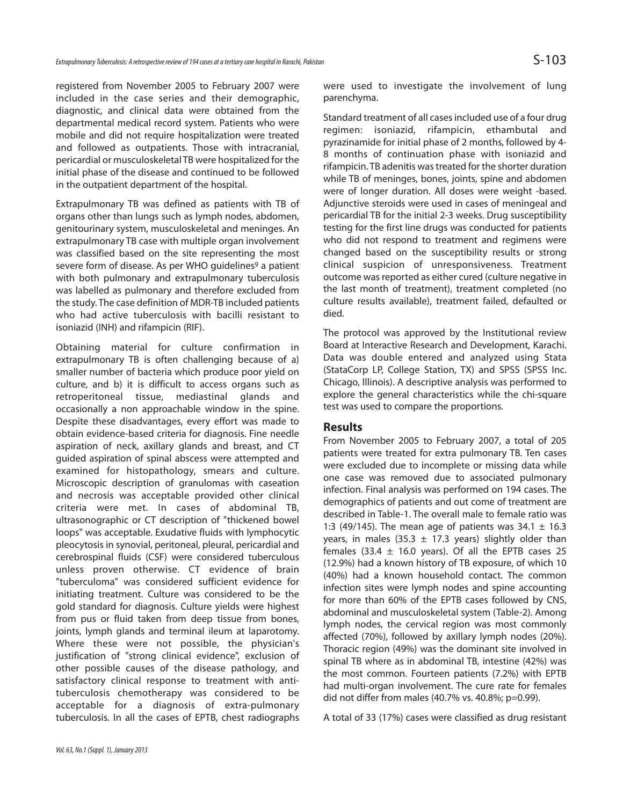registered from November 2005 to February 2007 were included in the case series and their demographic, diagnostic, and clinical data were obtained from the departmental medical record system. Patients who were mobile and did not require hospitalization were treated and followed as outpatients. Those with intracranial, pericardial or musculoskeletal TB were hospitalized for the initial phase of the disease and continued to be followed in the outpatient department of the hospital.

Extrapulmonary TB was defined as patients with TB of organs other than lungs such as lymph nodes, abdomen, genitourinary system, musculoskeletal and meninges. An extrapulmonary TB case with multiple organ involvement was classified based on the site representing the most severe form of disease. As per WHO quidelines<sup>9</sup> a patient with both pulmonary and extrapulmonary tuberculosis was labelled as pulmonary and therefore excluded from the study. The case definition of MDR-TB included patients who had active tuberculosis with bacilli resistant to isoniazid (INH) and rifampicin (RIF).

Obtaining material for culture confirmation in extrapulmonary TB is often challenging because of a) smaller number of bacteria which produce poor yield on culture, and b) it is difficult to access organs such as retroperitoneal tissue, mediastinal glands and occasionally a non approachable window in the spine. Despite these disadvantages, every effort was made to obtain evidence-based criteria for diagnosis. Fine needle aspiration of neck, axillary glands and breast, and CT guided aspiration of spinal abscess were attempted and examined for histopathology, smears and culture. Microscopic description of granulomas with caseation and necrosis was acceptable provided other clinical criteria were met. In cases of abdominal TB, ultrasonographic or CT description of "thickened bowel loops" was acceptable. Exudative fluids with lymphocytic pleocytosis in synovial, peritoneal, pleural, pericardial and cerebrospinal fluids (CSF) were considered tuberculous unless proven otherwise. CT evidence of brain "tuberculoma" was considered sufficient evidence for initiating treatment. Culture was considered to be the gold standard for diagnosis. Culture yields were highest from pus or fluid taken from deep tissue from bones, joints, lymph glands and terminal ileum at laparotomy. Where these were not possible, the physician's justification of "strong clinical evidence", exclusion of other possible causes of the disease pathology, and satisfactory clinical response to treatment with antituberculosis chemotherapy was considered to be acceptable for a diagnosis of extra-pulmonary tuberculosis. In all the cases of EPTB, chest radiographs were used to investigate the involvement of lung parenchyma.

Standard treatment of all cases included use of a four drug regimen: isoniazid, rifampicin, ethambutal and pyrazinamide for initial phase of 2 months, followed by 4- 8 months of continuation phase with isoniazid and rifampicin. TB adenitis was treated for the shorter duration while TB of meninges, bones, joints, spine and abdomen were of longer duration. All doses were weight -based. Adjunctive steroids were used in cases of meningeal and pericardial TB for the initial 2-3 weeks. Drug susceptibility testing for the first line drugs was conducted for patients who did not respond to treatment and regimens were changed based on the susceptibility results or strong clinical suspicion of unresponsiveness. Treatment outcome was reported as either cured (culture negative in the last month of treatment), treatment completed (no culture results available), treatment failed, defaulted or died.

The protocol was approved by the Institutional review Board at Interactive Research and Development, Karachi. Data was double entered and analyzed using Stata (StataCorp LP, College Station, TX) and SPSS (SPSS Inc. Chicago, Illinois). A descriptive analysis was performed to explore the general characteristics while the chi-square test was used to compare the proportions.

# **Results**

From November 2005 to February 2007, a total of 205 patients were treated for extra pulmonary TB. Ten cases were excluded due to incomplete or missing data while one case was removed due to associated pulmonary infection. Final analysis was performed on 194 cases. The demographics of patients and out come of treatment are described in Table-1. The overall male to female ratio was 1:3 (49/145). The mean age of patients was  $34.1 \pm 16.3$ years, in males (35.3  $\pm$  17.3 years) slightly older than females (33.4  $\pm$  16.0 years). Of all the EPTB cases 25 (12.9%) had a known history of TB exposure, of which 10 (40%) had a known household contact. The common infection sites were lymph nodes and spine accounting for more than 60% of the EPTB cases followed by CNS, abdominal and musculoskeletal system (Table-2). Among lymph nodes, the cervical region was most commonly affected (70%), followed by axillary lymph nodes (20%). Thoracic region (49%) was the dominant site involved in spinal TB where as in abdominal TB, intestine (42%) was the most common. Fourteen patients (7.2%) with EPTB had multi-organ involvement. The cure rate for females did not differ from males (40.7% vs. 40.8%; p=0.99).

A total of 33 (17%) cases were classified as drug resistant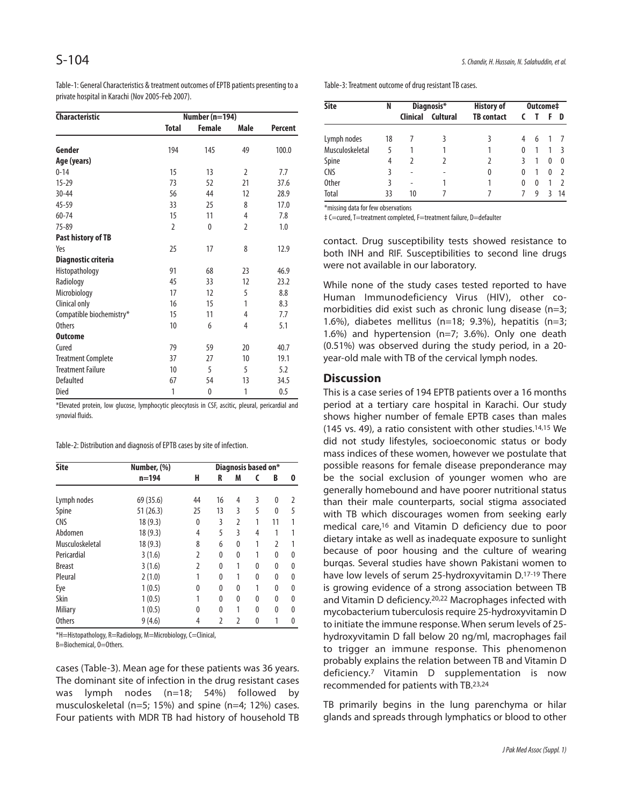Table-1: General Characteristics & treatment outcomes of EPTB patients presenting to a private hospital in Karachi (Nov 2005-Feb 2007).

| <b>Characteristic</b>     | Number (n=194) |               |                |         |  |
|---------------------------|----------------|---------------|----------------|---------|--|
|                           | <b>Total</b>   | <b>Female</b> | Male           | Percent |  |
| Gender                    | 194            | 145           | 49             | 100.0   |  |
| Age (years)               |                |               |                |         |  |
| $0 - 14$                  | 15             | 13            | $\overline{2}$ | 7.7     |  |
| $15 - 29$                 | 73             | 52            | 21             | 37.6    |  |
| $30 - 44$                 | 56             | 44            | 12             | 28.9    |  |
| 45-59                     | 33             | 25            | 8              | 17.0    |  |
| 60-74                     | 15             | 11            | 4              | 7.8     |  |
| $75 - 89$                 | $\overline{2}$ | $\mathbf{0}$  | $\overline{2}$ | 1.0     |  |
| Past history of TB        |                |               |                |         |  |
| Yes                       | 25             | 17            | 8              | 12.9    |  |
| Diagnostic criteria       |                |               |                |         |  |
| Histopathology            | 91             | 68            | 23             | 46.9    |  |
| Radiology                 | 45             | 33            | 12             | 23.2    |  |
| Microbiology              | 17             | 12            | 5              | 8.8     |  |
| Clinical only             | 16             | 15            | 1              | 8.3     |  |
| Compatible biochemistry*  | 15             | 11            | 4              | 7.7     |  |
| <b>Others</b>             | 10             | 6             | 4              | 5.1     |  |
| <b>Outcome</b>            |                |               |                |         |  |
| Cured                     | 79             | 59            | 20             | 40.7    |  |
| <b>Treatment Complete</b> | 37             | 27            | 10             | 19.1    |  |
| <b>Treatment Failure</b>  | 10             | 5             | 5              | 5.2     |  |
| Defaulted                 | 67             | 54            | 13             | 34.5    |  |
| Died                      | 1              | $\mathbf{0}$  | 1              | 0.5     |  |

\*Elevated protein, low glucose, lymphocytic pleocytosis in CSF, ascitic, pleural, pericardial and synovial fluids.

Table-2: Distribution and diagnosis of EPTB cases by site of infection.

| <b>Site</b>     | Number, (%) |                | Diagnosis based on* |                |   |    |   |  |
|-----------------|-------------|----------------|---------------------|----------------|---|----|---|--|
|                 | $n = 194$   | H              | R                   | M              | C | B  | 0 |  |
| Lymph nodes     | 69 (35.6)   | 44             | 16                  | 4              | 3 | 0  | 2 |  |
| Spine           | 51(26.3)    | 25             | 13                  | 3              | 5 | 0  | 5 |  |
| <b>CNS</b>      | 18(9.3)     | 0              | 3                   | $\overline{2}$ | 1 | 11 |   |  |
| Abdomen         | 18(9.3)     | 4              | 5                   | 3              | 4 | 1  |   |  |
| Musculoskeletal | 18(9.3)     | 8              | 6                   | 0              | 1 | 2  |   |  |
| Pericardial     | 3(1.6)      | $\overline{2}$ | $\theta$            | 0              | 1 | 0  | 0 |  |
| <b>Breast</b>   | 3(1.6)      | $\overline{2}$ | $\theta$            | 1              | 0 | 0  | 0 |  |
| Pleural         | 2(1.0)      | 1              | $\theta$            | 1              | 0 | 0  | 0 |  |
| Eye             | 1(0.5)      | 0              | 0                   | 0              | 1 | 0  | 0 |  |
| Skin            | 1(0.5)      | 1              | $\theta$            | 0              | 0 | 0  | 0 |  |
| <b>Miliary</b>  | 1(0.5)      | 0              | $\theta$            | 1              | 0 | 0  | 0 |  |
| <b>Others</b>   | 9(4.6)      | 4              | $\overline{2}$      | $\overline{2}$ | 0 | 1  | 0 |  |

\*H=Histopathology, R=Radiology, M=Microbiology, C=Clinical, B=Biochemical, O=Others.

cases (Table-3). Mean age for these patients was 36 years. The dominant site of infection in the drug resistant cases was lymph nodes (n=18; 54%) followed by musculoskeletal (n=5; 15%) and spine (n=4; 12%) cases. Four patients with MDR TB had history of household TB

Table-3: Treatment outcome of drug resistant TB cases.

| <b>Site</b>     | N  | Diagnosis*      |          | <b>History of</b> | Outcome‡ |   |          |          |
|-----------------|----|-----------------|----------|-------------------|----------|---|----------|----------|
|                 |    | <b>Clinical</b> | Cultural | <b>TB</b> contact |          |   |          | D        |
| Lymph nodes     | 18 |                 |          | 3                 | 4        | 6 |          |          |
| Musculoskeletal | 5  |                 |          |                   | 0        |   |          |          |
| Spine           | 4  | 7               |          |                   |          |   | $\Omega$ | $\Omega$ |
| <b>CNS</b>      | 3  | -               |          | 0                 | 0        |   | 0        |          |
| <b>Other</b>    | 3  | ٠               |          |                   | 0        | 0 |          |          |
| Total           | 33 | 10              |          |                   |          | g |          | 14       |

\*missing data for few observations

‡ C=cured, T=treatment completed, F=treatment failure, D=defaulter

contact. Drug susceptibility tests showed resistance to both INH and RIF. Susceptibilities to second line drugs were not available in our laboratory.

While none of the study cases tested reported to have Human Immunodeficiency Virus (HIV), other comorbidities did exist such as chronic lung disease (n=3; 1.6%), diabetes mellitus ( $n=18$ ; 9.3%), hepatitis ( $n=3$ ; 1.6%) and hypertension (n=7; 3.6%). Only one death (0.51%) was observed during the study period, in a 20 year-old male with TB of the cervical lymph nodes.

#### **Discussion**

This is a case series of 194 EPTB patients over a 16 months period at a tertiary care hospital in Karachi. Our study shows higher number of female EPTB cases than males (145 vs. 49), a ratio consistent with other studies.14,15 We did not study lifestyles, socioeconomic status or body mass indices of these women, however we postulate that possible reasons for female disease preponderance may be the social exclusion of younger women who are generally homebound and have poorer nutritional status than their male counterparts, social stigma associated with TB which discourages women from seeking early medical care,<sup>16</sup> and Vitamin D deficiency due to poor dietary intake as well as inadequate exposure to sunlight because of poor housing and the culture of wearing burqas. Several studies have shown Pakistani women to have low levels of serum 25-hydroxyvitamin D.17-19 There is growing evidence of a strong association between TB and Vitamin D deficiency.20,22 Macrophages infected with mycobacterium tuberculosis require 25-hydroxyvitamin D to initiate the immune response. When serum levels of 25 hydroxyvitamin D fall below 20 ng/ml, macrophages fail to trigger an immune response. This phenomenon probably explains the relation between TB and Vitamin D deficiency.<sup>7</sup> Vitamin D supplementation is now recommended for patients with TB.23,24

TB primarily begins in the lung parenchyma or hilar glands and spreads through lymphatics or blood to other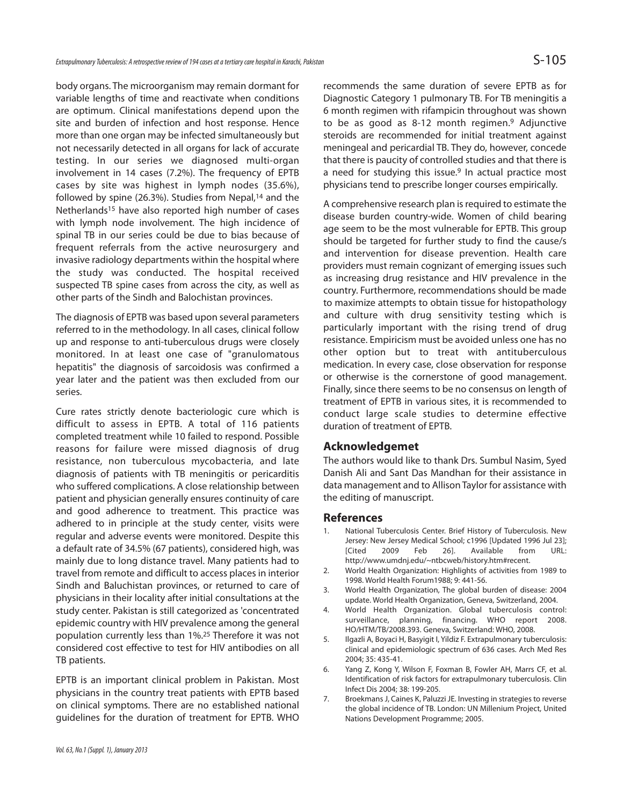body organs. The microorganism may remain dormant for variable lengths of time and reactivate when conditions are optimum. Clinical manifestations depend upon the site and burden of infection and host response. Hence more than one organ may be infected simultaneously but not necessarily detected in all organs for lack of accurate testing. In our series we diagnosed multi-organ involvement in 14 cases (7.2%). The frequency of EPTB cases by site was highest in lymph nodes (35.6%), followed by spine (26.3%). Studies from Nepal, $14$  and the Netherlands<sup>15</sup> have also reported high number of cases with lymph node involvement. The high incidence of spinal TB in our series could be due to bias because of frequent referrals from the active neurosurgery and invasive radiology departments within the hospital where the study was conducted. The hospital received suspected TB spine cases from across the city, as well as other parts of the Sindh and Balochistan provinces.

The diagnosis of EPTB was based upon several parameters referred to in the methodology. In all cases, clinical follow up and response to anti-tuberculous drugs were closely monitored. In at least one case of "granulomatous hepatitis" the diagnosis of sarcoidosis was confirmed a year later and the patient was then excluded from our series.

Cure rates strictly denote bacteriologic cure which is difficult to assess in EPTB. A total of 116 patients completed treatment while 10 failed to respond. Possible reasons for failure were missed diagnosis of drug resistance, non tuberculous mycobacteria, and late diagnosis of patients with TB meningitis or pericarditis who suffered complications. A close relationship between patient and physician generally ensures continuity of care and good adherence to treatment. This practice was adhered to in principle at the study center, visits were regular and adverse events were monitored. Despite this a default rate of 34.5% (67 patients), considered high, was mainly due to long distance travel. Many patients had to travel from remote and difficult to access places in interior Sindh and Baluchistan provinces, or returned to care of physicians in their locality after initial consultations at the study center. Pakistan is still categorized as 'concentrated epidemic country with HIV prevalence among the general population currently less than 1%.<sup>25</sup> Therefore it was not considered cost effective to test for HIV antibodies on all TB patients.

EPTB is an important clinical problem in Pakistan. Most physicians in the country treat patients with EPTB based on clinical symptoms. There are no established national guidelines for the duration of treatment for EPTB. WHO

recommends the same duration of severe EPTB as for Diagnostic Category 1 pulmonary TB. For TB meningitis a 6 month regimen with rifampicin throughout was shown to be as good as 8-12 month regimen.<sup>9</sup> Adjunctive steroids are recommended for initial treatment against meningeal and pericardial TB. They do, however, concede that there is paucity of controlled studies and that there is a need for studying this issue.<sup>9</sup> In actual practice most physicians tend to prescribe longer courses empirically.

A comprehensive research plan is required to estimate the disease burden country-wide. Women of child bearing age seem to be the most vulnerable for EPTB. This group should be targeted for further study to find the cause/s and intervention for disease prevention. Health care providers must remain cognizant of emerging issues such as increasing drug resistance and HIV prevalence in the country. Furthermore, recommendations should be made to maximize attempts to obtain tissue for histopathology and culture with drug sensitivity testing which is particularly important with the rising trend of drug resistance. Empiricism must be avoided unless one has no other option but to treat with antituberculous medication. In every case, close observation for response or otherwise is the cornerstone of good management. Finally, since there seems to be no consensus on length of treatment of EPTB in various sites, it is recommended to conduct large scale studies to determine effective duration of treatment of EPTB.

# **Acknowledgemet**

The authors would like to thank Drs. Sumbul Nasim, Syed Danish Ali and Sant Das Mandhan for their assistance in data management and to Allison Taylor for assistance with the editing of manuscript.

### **References**

- National Tuberculosis Center. Brief History of Tuberculosis. New Jersey: New Jersey Medical School; c1996 [Updated 1996 Jul 23]; [Cited 2009 Feb 26]. Available from URL: http://www.umdnj.edu/~ntbcweb/history.htm#recent.
- 2. World Health Organization: Highlights of activities from 1989 to 1998. World Health Forum1988; 9: 441-56.
- 3. World Health Organization, The global burden of disease: 2004 update. World Health Organization, Geneva, Switzerland, 2004.
- 4. World Health Organization. Global tuberculosis control: surveillance, planning, financing. WHO report 2008. HO/HTM/TB/2008.393. Geneva, Switzerland: WHO, 2008.
- 5. Ilgazli A, Boyaci H, Basyigit I, Yildiz F. Extrapulmonary tuberculosis: clinical and epidemiologic spectrum of 636 cases. Arch Med Res 2004; 35: 435-41.
- 6. Yang Z, Kong Y, Wilson F, Foxman B, Fowler AH, Marrs CF, et al. Identification of risk factors for extrapulmonary tuberculosis. Clin Infect Dis 2004; 38: 199-205.
- 7. Broekmans J, Caines K, Paluzzi JE. Investing in strategies to reverse the global incidence of TB. London: UN Millenium Project, United Nations Development Programme; 2005.